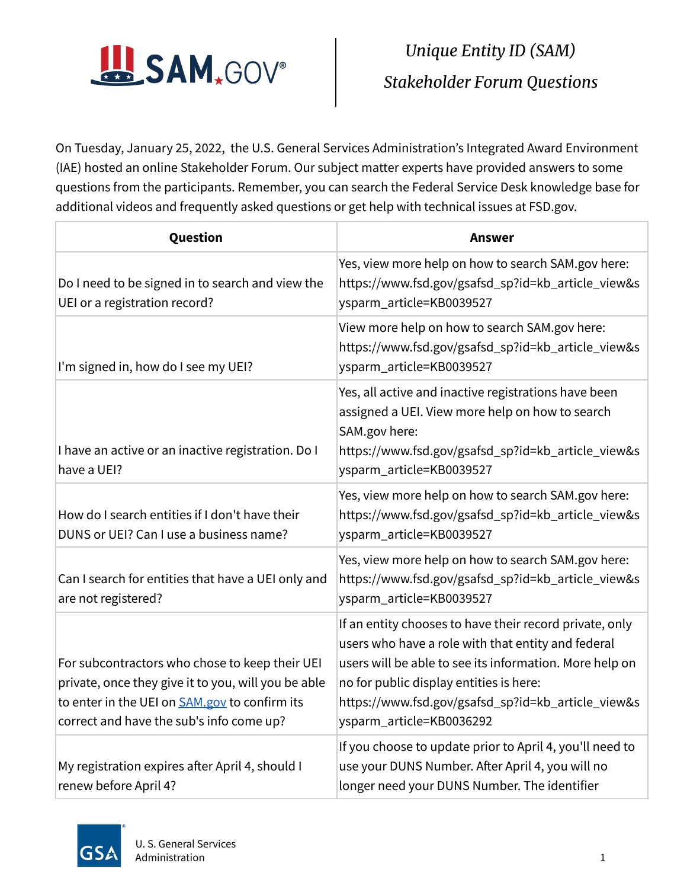

 On Tuesday, January 25, 2022, the U.S. General Services Administration's Integrated Award Environment (IAE) hosted an online Stakeholder Forum. Our subject matter experts have provided answers to some questions from the participants. Remember, you can search the Federal Service Desk knowledge base for additional videos and frequently asked questions or get help with technical issues at FSD.gov.

| Question                                                                                                                                                                                                  | <b>Answer</b>                                                                                                                                                                                                                                                                                         |
|-----------------------------------------------------------------------------------------------------------------------------------------------------------------------------------------------------------|-------------------------------------------------------------------------------------------------------------------------------------------------------------------------------------------------------------------------------------------------------------------------------------------------------|
| Do I need to be signed in to search and view the<br>UEI or a registration record?                                                                                                                         | Yes, view more help on how to search SAM.gov here:<br>https://www.fsd.gov/gsafsd_sp?id=kb_article_view&s<br>ysparm_article=KB0039527                                                                                                                                                                  |
| I'm signed in, how do I see my UEI?                                                                                                                                                                       | View more help on how to search SAM.gov here:<br>https://www.fsd.gov/gsafsd_sp?id=kb_article_view&s<br>ysparm_article=KB0039527                                                                                                                                                                       |
| I have an active or an inactive registration. Do I<br>have a UEI?                                                                                                                                         | Yes, all active and inactive registrations have been<br>assigned a UEI. View more help on how to search<br>SAM.gov here:<br>https://www.fsd.gov/gsafsd_sp?id=kb_article_view&s<br>ysparm_article=KB0039527                                                                                            |
| How do I search entities if I don't have their<br>DUNS or UEI? Can I use a business name?                                                                                                                 | Yes, view more help on how to search SAM.gov here:<br>https://www.fsd.gov/gsafsd_sp?id=kb_article_view&s<br>ysparm_article=KB0039527                                                                                                                                                                  |
| Can I search for entities that have a UEI only and<br>are not registered?                                                                                                                                 | Yes, view more help on how to search SAM.gov here:<br>https://www.fsd.gov/gsafsd_sp?id=kb_article_view&s<br>ysparm_article=KB0039527                                                                                                                                                                  |
| For subcontractors who chose to keep their UEI<br>private, once they give it to you, will you be able<br>to enter in the UEI on <b>SAM.gov</b> to confirm its<br>correct and have the sub's info come up? | If an entity chooses to have their record private, only<br>users who have a role with that entity and federal<br>users will be able to see its information. More help on<br>no for public display entities is here:<br>https://www.fsd.gov/gsafsd_sp?id=kb_article_view&s<br>ysparm_article=KB0036292 |
| My registration expires after April 4, should I<br>renew before April 4?                                                                                                                                  | If you choose to update prior to April 4, you'll need to<br>use your DUNS Number. After April 4, you will no<br>longer need your DUNS Number. The identifier                                                                                                                                          |

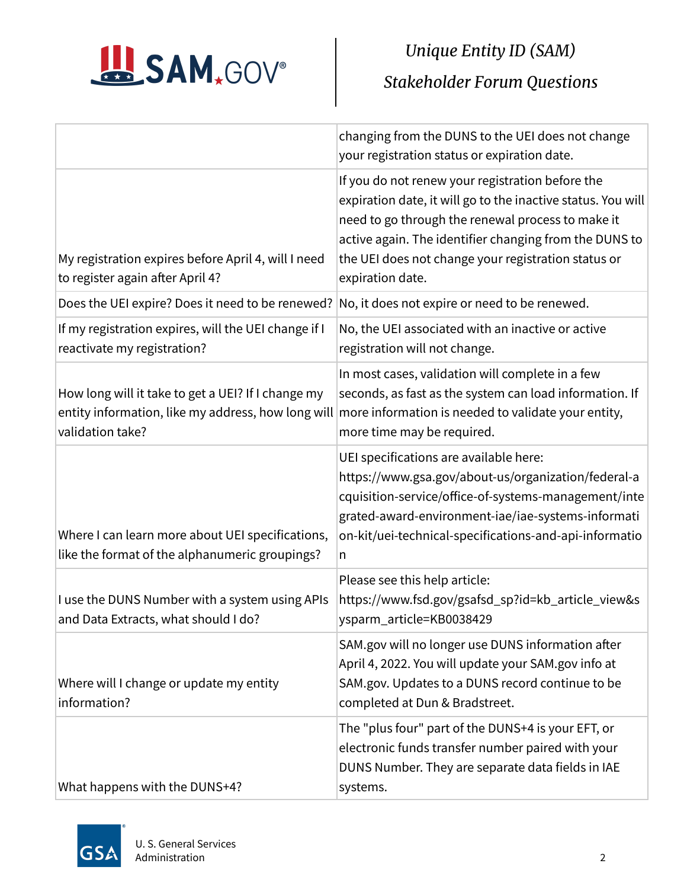

|                                                                                                    | changing from the DUNS to the UEI does not change<br>your registration status or expiration date.                                                                                                                                                                                                          |
|----------------------------------------------------------------------------------------------------|------------------------------------------------------------------------------------------------------------------------------------------------------------------------------------------------------------------------------------------------------------------------------------------------------------|
| My registration expires before April 4, will I need<br>to register again after April 4?            | If you do not renew your registration before the<br>expiration date, it will go to the inactive status. You will<br>need to go through the renewal process to make it<br>active again. The identifier changing from the DUNS to<br>the UEI does not change your registration status or<br>expiration date. |
| Does the UEI expire? Does it need to be renewed?                                                   | No, it does not expire or need to be renewed.                                                                                                                                                                                                                                                              |
| If my registration expires, will the UEI change if I<br>reactivate my registration?                | No, the UEI associated with an inactive or active<br>registration will not change.                                                                                                                                                                                                                         |
| How long will it take to get a UEI? If I change my<br>validation take?                             | In most cases, validation will complete in a few<br>seconds, as fast as the system can load information. If<br>entity information, like my address, how long will more information is needed to validate your entity,<br>more time may be required.                                                        |
| Where I can learn more about UEI specifications,<br>like the format of the alphanumeric groupings? | UEI specifications are available here:<br>https://www.gsa.gov/about-us/organization/federal-a<br>cquisition-service/office-of-systems-management/inte<br>grated-award-environment-iae/iae-systems-informati<br>on-kit/uei-technical-specifications-and-api-informatio<br>n                                 |
| I use the DUNS Number with a system using APIs<br>and Data Extracts, what should I do?             | Please see this help article:<br>https://www.fsd.gov/gsafsd_sp?id=kb_article_view&s<br>ysparm_article=KB0038429                                                                                                                                                                                            |
| Where will I change or update my entity<br>information?                                            | SAM.gov will no longer use DUNS information after<br>April 4, 2022. You will update your SAM.gov info at<br>SAM.gov. Updates to a DUNS record continue to be<br>completed at Dun & Bradstreet.                                                                                                             |
| What happens with the DUNS+4?                                                                      | The "plus four" part of the DUNS+4 is your EFT, or<br>electronic funds transfer number paired with your<br>DUNS Number. They are separate data fields in IAE<br>systems.                                                                                                                                   |

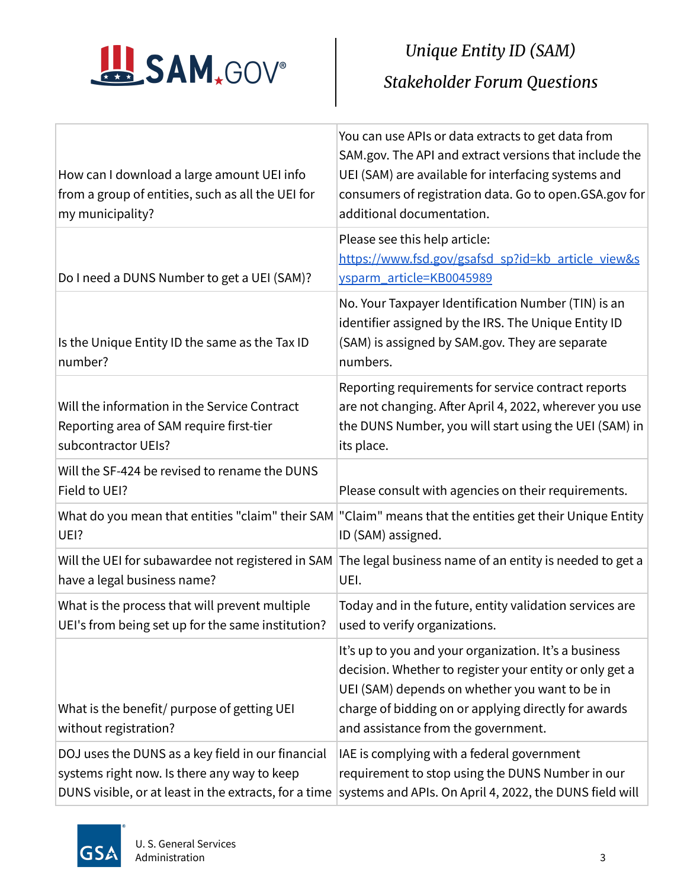

|                                                                                                                                                           | You can use APIs or data extracts to get data from<br>SAM.gov. The API and extract versions that include the                                                                                                                                                      |
|-----------------------------------------------------------------------------------------------------------------------------------------------------------|-------------------------------------------------------------------------------------------------------------------------------------------------------------------------------------------------------------------------------------------------------------------|
| How can I download a large amount UEI info<br>from a group of entities, such as all the UEI for                                                           | UEI (SAM) are available for interfacing systems and<br>consumers of registration data. Go to open.GSA.gov for                                                                                                                                                     |
| my municipality?                                                                                                                                          | additional documentation.                                                                                                                                                                                                                                         |
|                                                                                                                                                           | Please see this help article:                                                                                                                                                                                                                                     |
|                                                                                                                                                           | https://www.fsd.gov/gsafsd sp?id=kb article view&s                                                                                                                                                                                                                |
| Do I need a DUNS Number to get a UEI (SAM)?                                                                                                               | ysparm_article=KB0045989                                                                                                                                                                                                                                          |
| Is the Unique Entity ID the same as the Tax ID<br>number?                                                                                                 | No. Your Taxpayer Identification Number (TIN) is an<br>identifier assigned by the IRS. The Unique Entity ID<br>(SAM) is assigned by SAM.gov. They are separate<br>numbers.                                                                                        |
| Will the information in the Service Contract<br>Reporting area of SAM require first-tier<br>subcontractor UEIs?                                           | Reporting requirements for service contract reports<br>are not changing. After April 4, 2022, wherever you use<br>the DUNS Number, you will start using the UEI (SAM) in<br>its place.                                                                            |
| Will the SF-424 be revised to rename the DUNS<br>Field to UEI?                                                                                            | Please consult with agencies on their requirements.                                                                                                                                                                                                               |
| UEI?                                                                                                                                                      | What do you mean that entities "claim" their SAM "Claim" means that the entities get their Unique Entity<br>ID (SAM) assigned.                                                                                                                                    |
| Will the UEI for subawardee not registered in SAM<br>have a legal business name?                                                                          | The legal business name of an entity is needed to get a<br>UEI.                                                                                                                                                                                                   |
| What is the process that will prevent multiple<br>UEI's from being set up for the same institution?                                                       | Today and in the future, entity validation services are<br>used to verify organizations.                                                                                                                                                                          |
| What is the benefit/ purpose of getting UEI<br>without registration?                                                                                      | It's up to you and your organization. It's a business<br>decision. Whether to register your entity or only get a<br>UEI (SAM) depends on whether you want to be in<br>charge of bidding on or applying directly for awards<br>and assistance from the government. |
| DOJ uses the DUNS as a key field in our financial<br>systems right now. Is there any way to keep<br>DUNS visible, or at least in the extracts, for a time | IAE is complying with a federal government<br>requirement to stop using the DUNS Number in our<br>systems and APIs. On April 4, 2022, the DUNS field will                                                                                                         |

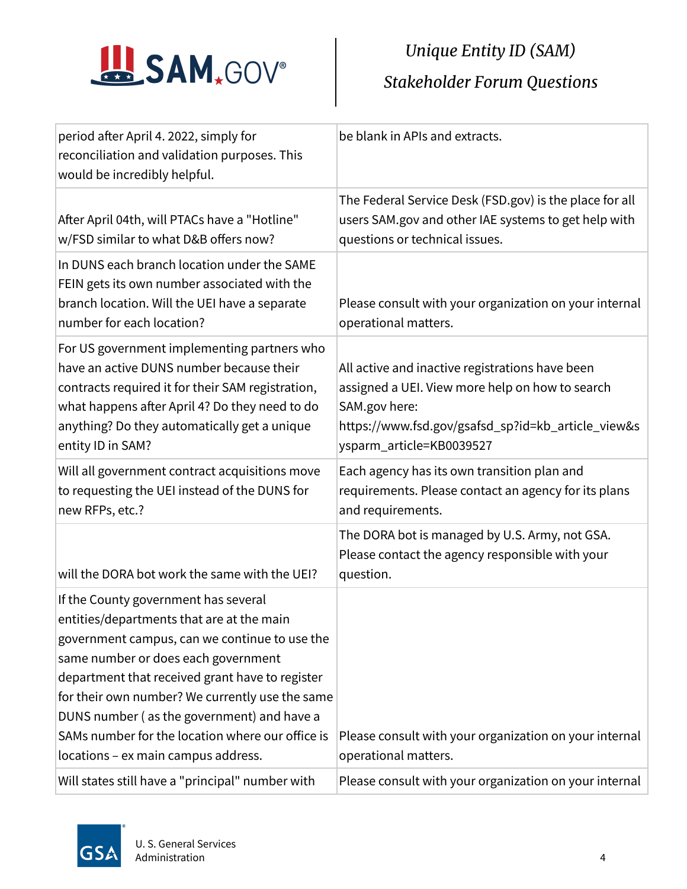

| period after April 4. 2022, simply for<br>reconciliation and validation purposes. This<br>would be incredibly helpful.                                                                                                                                                                                                                                                                                                   | be blank in APIs and extracts.                                                                                                                                                                        |
|--------------------------------------------------------------------------------------------------------------------------------------------------------------------------------------------------------------------------------------------------------------------------------------------------------------------------------------------------------------------------------------------------------------------------|-------------------------------------------------------------------------------------------------------------------------------------------------------------------------------------------------------|
| After April 04th, will PTACs have a "Hotline"<br>w/FSD similar to what D&B offers now?                                                                                                                                                                                                                                                                                                                                   | The Federal Service Desk (FSD.gov) is the place for all<br>users SAM.gov and other IAE systems to get help with<br>questions or technical issues.                                                     |
| In DUNS each branch location under the SAME<br>FEIN gets its own number associated with the<br>branch location. Will the UEI have a separate<br>number for each location?                                                                                                                                                                                                                                                | Please consult with your organization on your internal<br>operational matters.                                                                                                                        |
| For US government implementing partners who<br>have an active DUNS number because their<br>contracts required it for their SAM registration,<br>what happens after April 4? Do they need to do<br>anything? Do they automatically get a unique<br>entity ID in SAM?                                                                                                                                                      | All active and inactive registrations have been<br>assigned a UEI. View more help on how to search<br>SAM.gov here:<br>https://www.fsd.gov/gsafsd_sp?id=kb_article_view&s<br>ysparm_article=KB0039527 |
| Will all government contract acquisitions move<br>to requesting the UEI instead of the DUNS for<br>new RFPs, etc.?                                                                                                                                                                                                                                                                                                       | Each agency has its own transition plan and<br>requirements. Please contact an agency for its plans<br>and requirements.                                                                              |
| will the DORA bot work the same with the UEI?                                                                                                                                                                                                                                                                                                                                                                            | The DORA bot is managed by U.S. Army, not GSA.<br>Please contact the agency responsible with your<br>question.                                                                                        |
| If the County government has several<br>entities/departments that are at the main<br>government campus, can we continue to use the<br>same number or does each government<br>department that received grant have to register<br>for their own number? We currently use the same<br>DUNS number (as the government) and have a<br>SAMs number for the location where our office is<br>locations - ex main campus address. | Please consult with your organization on your internal<br>operational matters.                                                                                                                        |
| Will states still have a "principal" number with                                                                                                                                                                                                                                                                                                                                                                         | Please consult with your organization on your internal                                                                                                                                                |

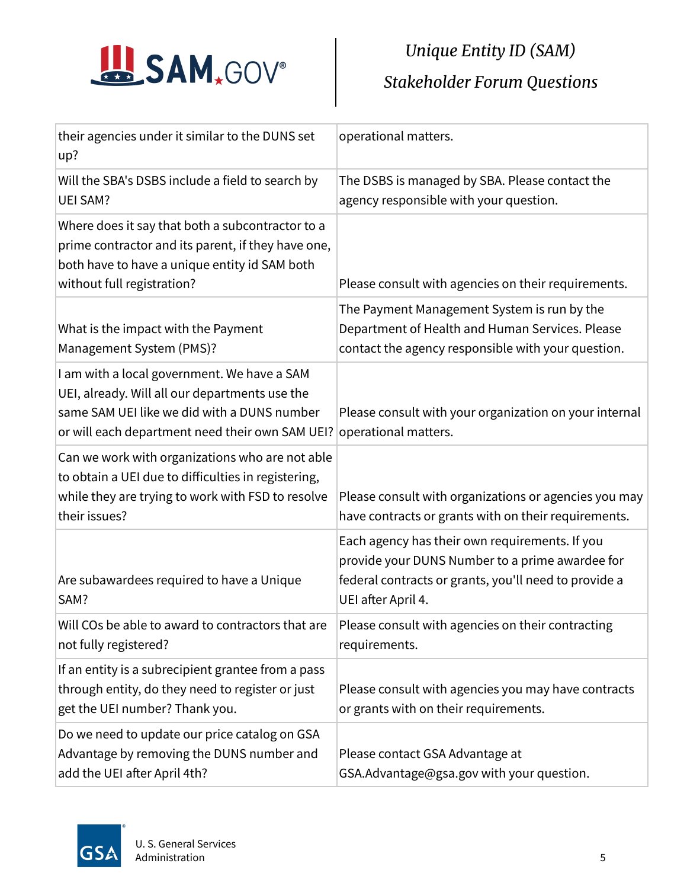

| their agencies under it similar to the DUNS set<br>up?                                                                                                                                          | operational matters.                                                                                                                                                             |
|-------------------------------------------------------------------------------------------------------------------------------------------------------------------------------------------------|----------------------------------------------------------------------------------------------------------------------------------------------------------------------------------|
| Will the SBA's DSBS include a field to search by<br><b>UEI SAM?</b>                                                                                                                             | The DSBS is managed by SBA. Please contact the<br>agency responsible with your question.                                                                                         |
| Where does it say that both a subcontractor to a<br>prime contractor and its parent, if they have one,<br>both have to have a unique entity id SAM both<br>without full registration?           | Please consult with agencies on their requirements.                                                                                                                              |
| What is the impact with the Payment<br>Management System (PMS)?                                                                                                                                 | The Payment Management System is run by the<br>Department of Health and Human Services. Please<br>contact the agency responsible with your question.                             |
| I am with a local government. We have a SAM<br>UEI, already. Will all our departments use the<br>same SAM UEI like we did with a DUNS number<br>or will each department need their own SAM UEI? | Please consult with your organization on your internal<br>operational matters.                                                                                                   |
| Can we work with organizations who are not able<br>to obtain a UEI due to difficulties in registering,<br>while they are trying to work with FSD to resolve<br>their issues?                    | Please consult with organizations or agencies you may<br>have contracts or grants with on their requirements.                                                                    |
| Are subawardees required to have a Unique<br>SAM?                                                                                                                                               | Each agency has their own requirements. If you<br>provide your DUNS Number to a prime awardee for<br>federal contracts or grants, you'll need to provide a<br>UEI after April 4. |
| Will COs be able to award to contractors that are<br>not fully registered?                                                                                                                      | Please consult with agencies on their contracting<br>requirements.                                                                                                               |
| If an entity is a subrecipient grantee from a pass<br>through entity, do they need to register or just<br>get the UEI number? Thank you.                                                        | Please consult with agencies you may have contracts<br>or grants with on their requirements.                                                                                     |
| Do we need to update our price catalog on GSA<br>Advantage by removing the DUNS number and<br>add the UEI after April 4th?                                                                      | Please contact GSA Advantage at<br>GSA.Advantage@gsa.gov with your question.                                                                                                     |

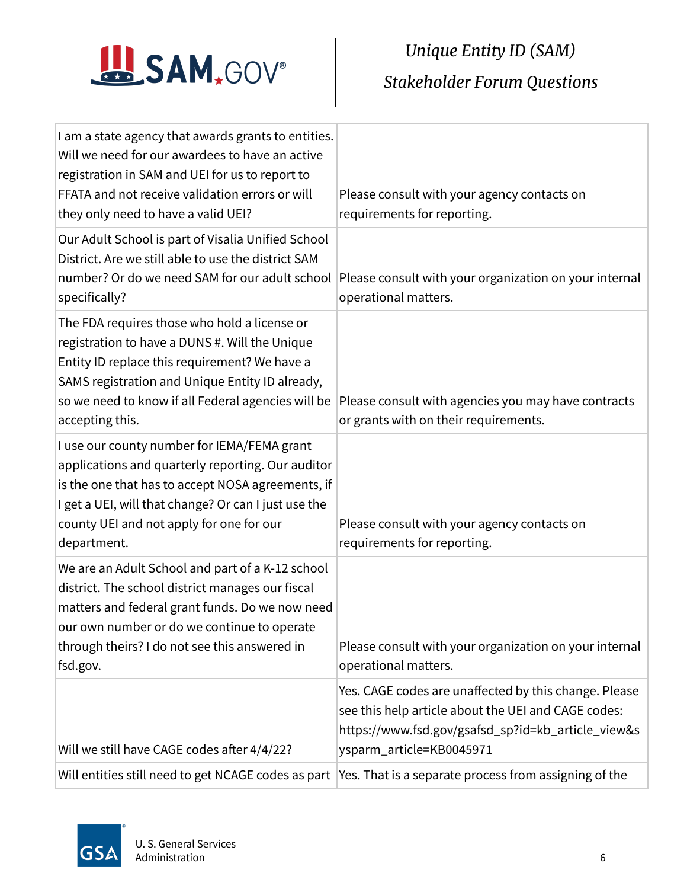

| Will entities still need to get NCAGE codes as part                                                                                                                                                                                                                         | Yes. That is a separate process from assigning of the                                                                                                                                          |
|-----------------------------------------------------------------------------------------------------------------------------------------------------------------------------------------------------------------------------------------------------------------------------|------------------------------------------------------------------------------------------------------------------------------------------------------------------------------------------------|
| Will we still have CAGE codes after 4/4/22?                                                                                                                                                                                                                                 | Yes. CAGE codes are unaffected by this change. Please<br>see this help article about the UEI and CAGE codes:<br>https://www.fsd.gov/gsafsd_sp?id=kb_article_view&s<br>ysparm_article=KB0045971 |
| We are an Adult School and part of a K-12 school<br>district. The school district manages our fiscal<br>matters and federal grant funds. Do we now need<br>our own number or do we continue to operate<br>through theirs? I do not see this answered in<br>fsd.gov.         | Please consult with your organization on your internal<br>operational matters.                                                                                                                 |
| I use our county number for IEMA/FEMA grant<br>applications and quarterly reporting. Our auditor<br>is the one that has to accept NOSA agreements, if<br>I get a UEI, will that change? Or can I just use the<br>county UEI and not apply for one for our<br>department.    | Please consult with your agency contacts on<br>requirements for reporting.                                                                                                                     |
| The FDA requires those who hold a license or<br>registration to have a DUNS #. Will the Unique<br>Entity ID replace this requirement? We have a<br>SAMS registration and Unique Entity ID already,<br>so we need to know if all Federal agencies will be<br>accepting this. | Please consult with agencies you may have contracts<br>or grants with on their requirements.                                                                                                   |
| Our Adult School is part of Visalia Unified School<br>District. Are we still able to use the district SAM<br>number? Or do we need SAM for our adult school<br>specifically?                                                                                                | Please consult with your organization on your internal<br>operational matters.                                                                                                                 |
| I am a state agency that awards grants to entities.<br>Will we need for our awardees to have an active<br>registration in SAM and UEI for us to report to<br>FFATA and not receive validation errors or will<br>they only need to have a valid UEI?                         | Please consult with your agency contacts on<br>requirements for reporting.                                                                                                                     |

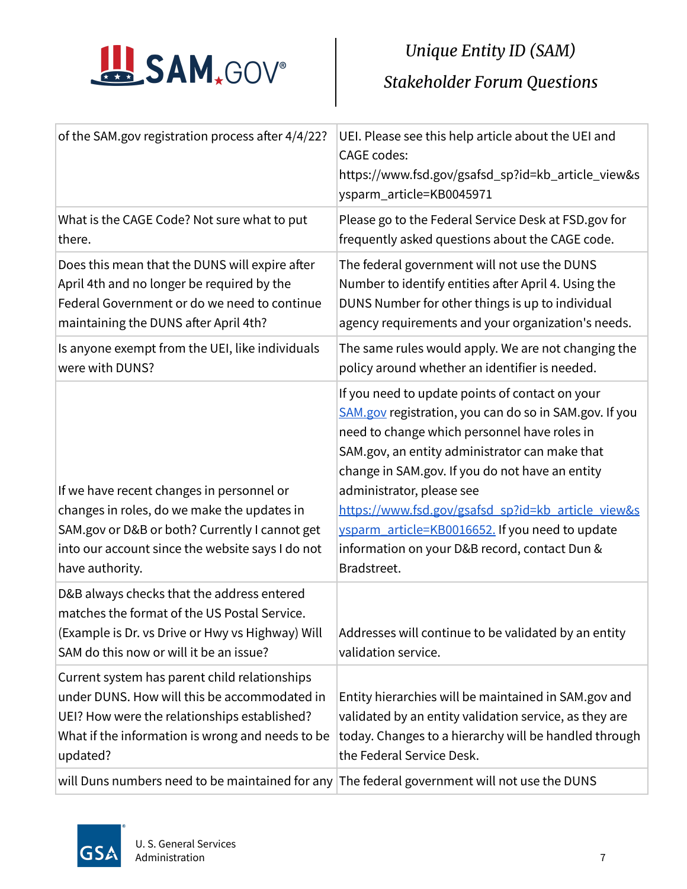

| of the SAM.gov registration process after 4/4/22?                                                                                                                                                                 | UEI. Please see this help article about the UEI and<br><b>CAGE</b> codes:<br>https://www.fsd.gov/gsafsd_sp?id=kb_article_view&s<br>ysparm_article=KB0045971                                                                                                                                                                                                                                                                                                          |
|-------------------------------------------------------------------------------------------------------------------------------------------------------------------------------------------------------------------|----------------------------------------------------------------------------------------------------------------------------------------------------------------------------------------------------------------------------------------------------------------------------------------------------------------------------------------------------------------------------------------------------------------------------------------------------------------------|
| What is the CAGE Code? Not sure what to put<br>there.                                                                                                                                                             | Please go to the Federal Service Desk at FSD.gov for<br>frequently asked questions about the CAGE code.                                                                                                                                                                                                                                                                                                                                                              |
| Does this mean that the DUNS will expire after<br>April 4th and no longer be required by the<br>Federal Government or do we need to continue<br>maintaining the DUNS after April 4th?                             | The federal government will not use the DUNS<br>Number to identify entities after April 4. Using the<br>DUNS Number for other things is up to individual<br>agency requirements and your organization's needs.                                                                                                                                                                                                                                                       |
| Is anyone exempt from the UEI, like individuals<br>were with DUNS?                                                                                                                                                | The same rules would apply. We are not changing the<br>policy around whether an identifier is needed.                                                                                                                                                                                                                                                                                                                                                                |
| If we have recent changes in personnel or<br>changes in roles, do we make the updates in<br>SAM.gov or D&B or both? Currently I cannot get<br>into our account since the website says I do not<br>have authority. | If you need to update points of contact on your<br>SAM.gov registration, you can do so in SAM.gov. If you<br>need to change which personnel have roles in<br>SAM.gov, an entity administrator can make that<br>change in SAM.gov. If you do not have an entity<br>administrator, please see<br>https://www.fsd.gov/gsafsd sp?id=kb article view&s<br>ysparm_article=KB0016652. If you need to update<br>information on your D&B record, contact Dun &<br>Bradstreet. |
| D&B always checks that the address entered<br>matches the format of the US Postal Service.<br>(Example is Dr. vs Drive or Hwy vs Highway) Will<br>SAM do this now or will it be an issue?                         | Addresses will continue to be validated by an entity<br>validation service.                                                                                                                                                                                                                                                                                                                                                                                          |
| Current system has parent child relationships<br>under DUNS. How will this be accommodated in<br>UEI? How were the relationships established?<br>What if the information is wrong and needs to be<br>updated?     | Entity hierarchies will be maintained in SAM.gov and<br>validated by an entity validation service, as they are<br>today. Changes to a hierarchy will be handled through<br>the Federal Service Desk.                                                                                                                                                                                                                                                                 |
| will Duns numbers need to be maintained for any The federal government will not use the DUNS                                                                                                                      |                                                                                                                                                                                                                                                                                                                                                                                                                                                                      |